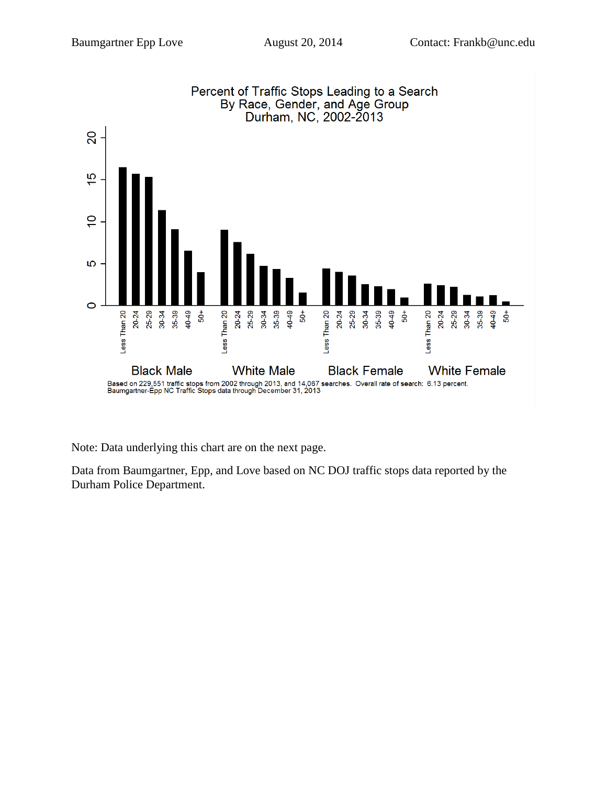

Note: Data underlying this chart are on the next page.

Data from Baumgartner, Epp, and Love based on NC DOJ traffic stops data reported by the Durham Police Department.